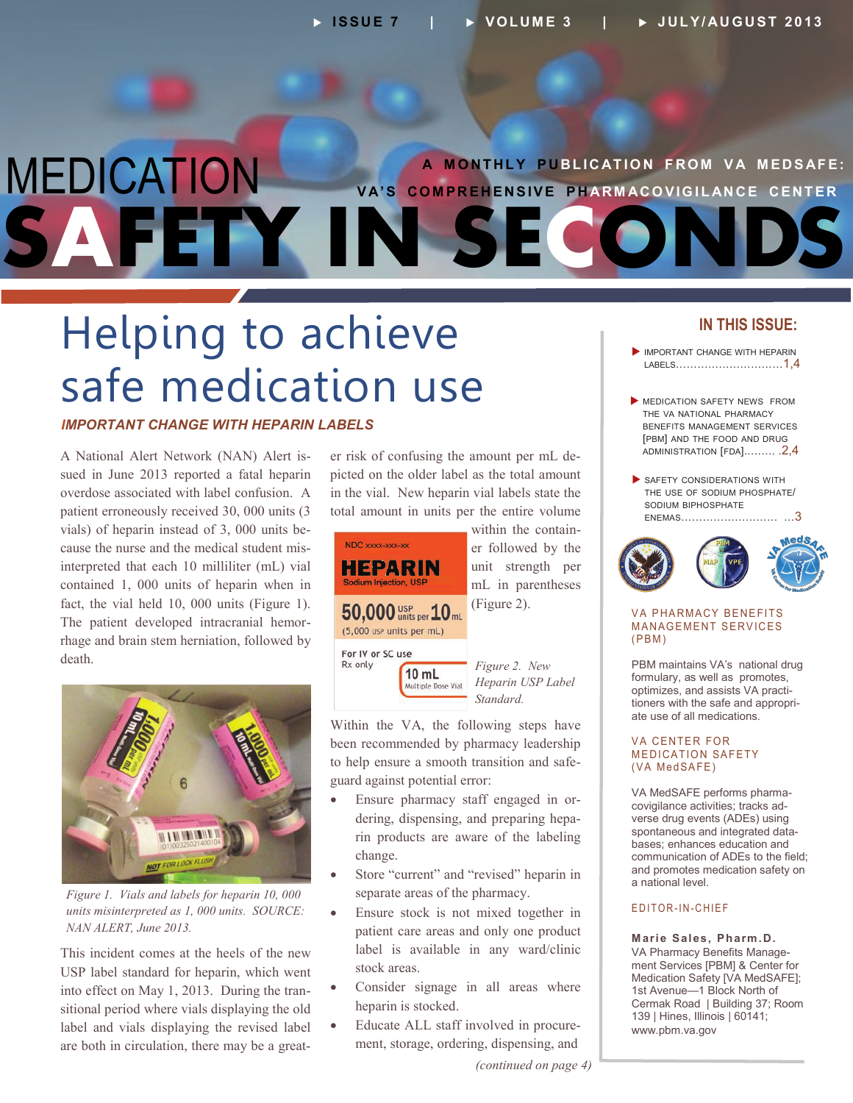## MEDICATION **SAFETY IN SECONDS A M O NT HLY P UBL I C AT IO N F RO M V A M ED S AFE: V A'S CO M PR E H EN SIVE P H AR M AC O VIG I L AN C E C ENT ER**

# Helping to achieve safe medication use

## *IMPORTANT CHANGE WITH HEPARIN LABELS*

A National Alert Network (NAN) Alert issued in June 2013 reported a fatal heparin overdose associated with label confusion. A patient erroneously received 30, 000 units (3 vials) of heparin instead of 3, 000 units because the nurse and the medical student misinterpreted that each 10 milliliter (mL) vial contained 1, 000 units of heparin when in fact, the vial held 10, 000 units (Figure 1). The patient developed intracranial hemorrhage and brain stem herniation, followed by death.



*Figure 1. Vials and labels for heparin 10, 000 units misinterpreted as 1, 000 units. SOURCE: NAN ALERT, June 2013.*

This incident comes at the heels of the new USP label standard for heparin, which went into effect on May 1, 2013. During the transitional period where vials displaying the old label and vials displaying the revised label are both in circulation, there may be a greater risk of confusing the amount per mL depicted on the older label as the total amount in the vial. New heparin vial labels state the total amount in units per the entire volume



Within the VA, the following steps have been recommended by pharmacy leadership to help ensure a smooth transition and safeguard against potential error:

- Ensure pharmacy staff engaged in ordering, dispensing, and preparing heparin products are aware of the labeling change.
- Store "current" and "revised" heparin in separate areas of the pharmacy.
- Ensure stock is not mixed together in patient care areas and only one product label is available in any ward/clinic stock areas.
- Consider signage in all areas where heparin is stocked.
- Educate ALL staff involved in procurement, storage, ordering, dispensing, and

## **IN THIS ISSUE:**

- IMPORTANT CHANGE WITH HEPARIN LABELS…………………………1,4
- **MEDICATION SAFETY NEWS FROM** THE VA NATIONAL PHARMACY BENEFITS MANAGEMENT SERVICES [PBM] AND THE FOOD AND DRUG [ADMINISTRATION](#page-1-0) [FDA]..……. .2,4
- SAFETY CONSIDERATIONS WITH THE USE OF SODIUM PHOSPHATE/ SODIUM BIPHOSPHATE ENEMAS[……………………… …](#page-2-0)3



#### **VA PHARMACY BENEFITS MANAGEMENT SERVICES**  $(PBM)$

PBM maintains VA's national drug formulary, as well as promotes, optimizes, and assists VA practitioners with the safe and appropriate use of all medications.

#### **VA CENTER FOR MEDICATION SAFETY** (VA MedSAFE)

VA MedSAFE performs pharmacovigilance activities; tracks adverse drug events (ADEs) using spontaneous and integrated databases; enhances education and communication of ADEs to the field; and promotes medication safety on a national level.

#### E D I T O R - I N - C H I E F

**Marie Sales, Pharm.D.** VA Pharmacy Benefits Management Services [PBM] & Center for Medication Safety [VA MedSAFE]; 1st Avenue—1 Block North of Cermak Road | Building 37; Room 139 | Hines, Illinois | 60141; [www.pbm.va.gov](http://www.pbm.va.gov)

*(continued on page 4)*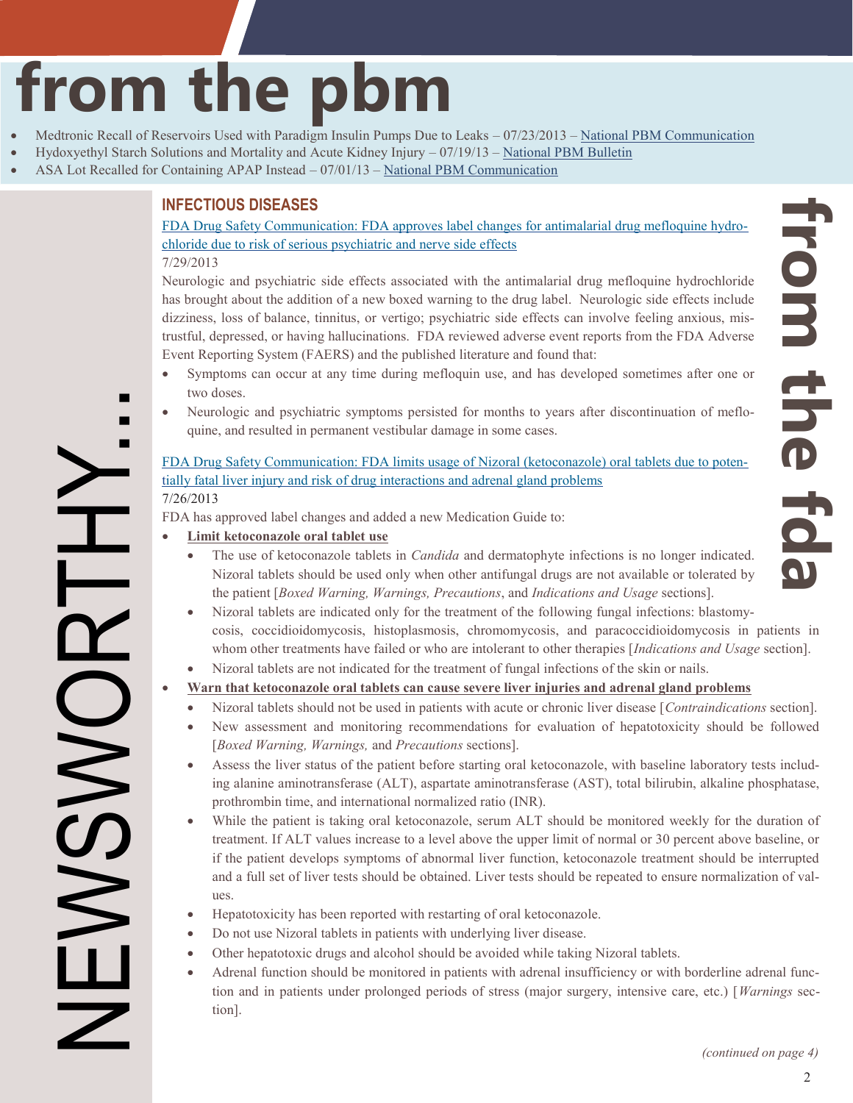# <span id="page-1-0"></span>**from the pbm**

- Medtronic Recall of Reservoirs Used with Paradigm Insulin Pumps Due to Leaks 07/23/2013 [National PBM Communication](http://www.pbm.va.gov/PBM/vacenterformedicationsafety/nationalpbmcommunication/Medtronic_Recall_of_Reservoirs_Used_with_Paradigm_Insulin_Pumps_NATIONAL_PBM_COMMUNICATION_072313_FINAL.pdf)
- Hydoxyethyl Starch Solutions and Mortality and Acute Kidney Injury 07/19/13 – [National PBM Bulletin](http://www.pbm.va.gov/PBM/vacenterformedicationsafety/nationalpbmbulletin/Hydoxyethyl_Starch_Solutions_and_Mortality_and_Acute_Kidney_Injury_NATIONAL_PBM_BULLETIN_071913_FINAL.pdf)
- ASA Lot Recalled for Containing APAP Instead 07/01/13 [National PBM Communication](http://www.pbm.va.gov/PBM/vacenterformedicationsafety/nationalpbmcommunication/ASA_Lot_Recalled_for_Containing_APAP_instead_NATIONAL_PBM_COMMUNICATION_070113_FINAL.pdf)

## **INFECTIOUS DISEASES**

[FDA Drug Safety Communication: FDA approves label changes for antimalarial drug mefloquine hydro](http://www.fda.gov/Drugs/DrugSafety/ucm362227.htm)chloride due to risk of serious psychiatric and nerve side effects

7/29/2013

NEWSWORTHY...

**DISSIS** 

Neurologic and psychiatric side effects associated with the antimalarial drug mefloquine hydrochloride has brought about the addition of a new boxed warning to the drug label. Neurologic side effects include dizziness, loss of balance, tinnitus, or vertigo; psychiatric side effects can involve feeling anxious, mistrustful, depressed, or having hallucinations. FDA reviewed adverse event reports from the FDA Adverse Event Reporting System (FAERS) and the published literature and found that:

- Symptoms can occur at any time during mefloquin use, and has developed sometimes after one or two doses.
- Neurologic and psychiatric symptoms persisted for months to years after discontinuation of mefloquine, and resulted in permanent vestibular damage in some cases.

[FDA Drug Safety Communication: FDA limits usage of Nizoral \(ketoconazole\) oral tablets due to poten](http://www.fda.gov/Drugs/DrugSafety/ucm362415.htm)tially fatal liver injury and risk of drug interactions and adrenal gland problems 7/26/2013

FDA has approved label changes and added a new Medication Guide to:

- **Limit ketoconazole oral tablet use**
	- The use of ketoconazole tablets in *Candida* and dermatophyte infections is no longer indicated. Nizoral tablets should be used only when other antifungal drugs are not available or tolerated by the patient [*Boxed Warning, Warnings, Precautions*, and *Indications and Usage* sections].
	- Nizoral tablets are indicated only for the treatment of the following fungal infections: blastomycosis, coccidioidomycosis, histoplasmosis, chromomycosis, and paracoccidioidomycosis in patients in whom other treatments have failed or who are intolerant to other therapies [*Indications and Usage* section].
	- Nizoral tablets are not indicated for the treatment of fungal infections of the skin or nails.

## **Warn that ketoconazole oral tablets can cause severe liver injuries and adrenal gland problems**

- Nizoral tablets should not be used in patients with acute or chronic liver disease [*Contraindications* section].
- New assessment and monitoring recommendations for evaluation of hepatotoxicity should be followed [*Boxed Warning, Warnings,* and *Precautions* sections].
- Assess the liver status of the patient before starting oral ketoconazole, with baseline laboratory tests including alanine aminotransferase (ALT), aspartate aminotransferase (AST), total bilirubin, alkaline phosphatase, prothrombin time, and international normalized ratio (INR).
- While the patient is taking oral ketoconazole, serum ALT should be monitored weekly for the duration of treatment. If ALT values increase to a level above the upper limit of normal or 30 percent above baseline, or if the patient develops symptoms of abnormal liver function, ketoconazole treatment should be interrupted and a full set of liver tests should be obtained. Liver tests should be repeated to ensure normalization of values.
- Hepatotoxicity has been reported with restarting of oral ketoconazole.
- Do not use Nizoral tablets in patients with underlying liver disease.
- Other hepatotoxic drugs and alcohol should be avoided while taking Nizoral tablets.
- Adrenal function should be monitored in patients with adrenal insufficiency or with borderline adrenal function and in patients under prolonged periods of stress (major surgery, intensive care, etc.) [*Warnings* section].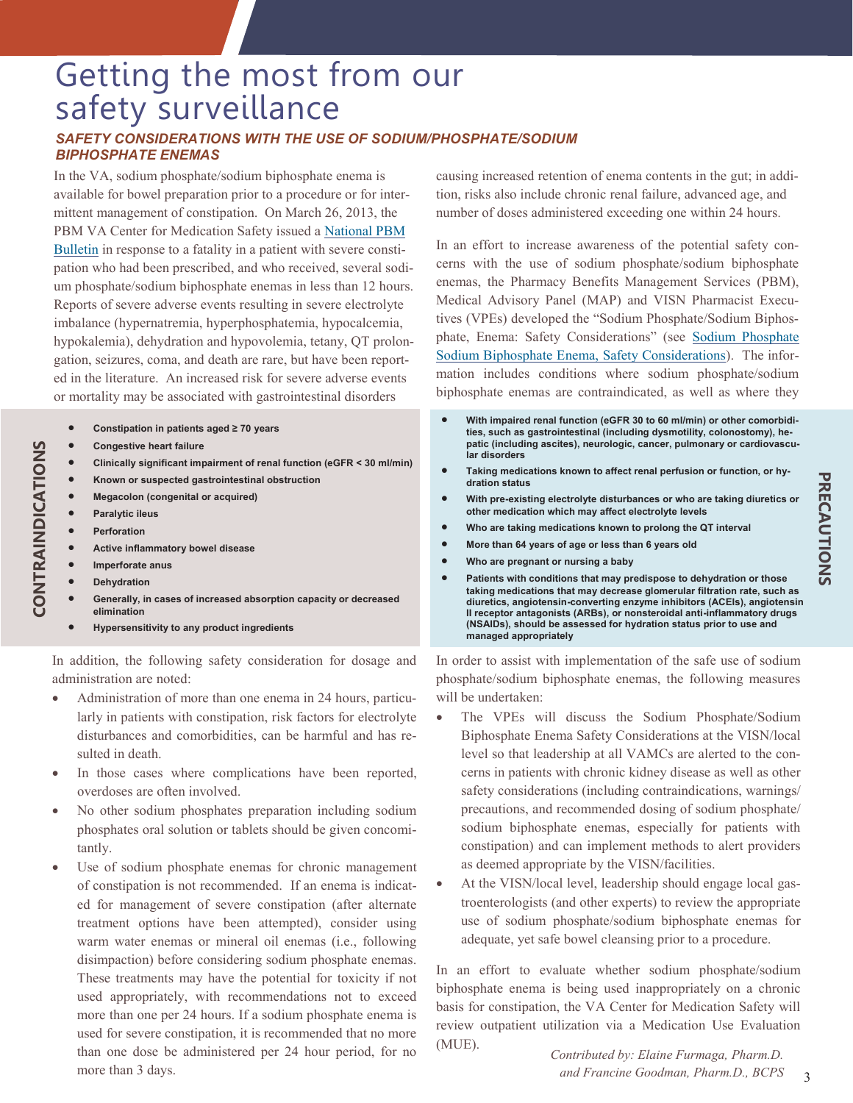## <span id="page-2-0"></span>Getting the most from our safety surveillance *SAFETY CONSIDERATIONS WITH THE USE OF SODIUM/PHOSPHATE/SODIUM BIPHOSPHATE ENEMAS*

In the VA, sodium phosphate/sodium biphosphate enema is available for bowel preparation prior to a procedure or for intermittent management of constipation. On March 26, 2013, the [PBM VA Center for Medication Safety issued a National PBM](http://www.pbm.va.gov/PBM/vacenterformedicationsafety/nationalpbmbulletin/Sodiumphosphateenemaandfataloutcome.pdf)  Bulletin in response to a fatality in a patient with severe constipation who had been prescribed, and who received, several sodium phosphate/sodium biphosphate enemas in less than 12 hours. Reports of severe adverse events resulting in severe electrolyte imbalance (hypernatremia, hyperphosphatemia, hypocalcemia, hypokalemia), dehydration and hypovolemia, tetany, QT prolongation, seizures, coma, and death are rare, but have been reported in the literature. An increased risk for severe adverse events or mortality may be associated with gastrointestinal disorders

- **Constipation in patients aged ≥ 70 years**
- **Congestive heart failure**
- **Clinically significant impairment of renal function (eGFR < 30 ml/min)**
- **Known or suspected gastrointestinal obstruction**
- **Megacolon (congenital or acquired)**
- **Paralytic ileus**
- **Perforation**

**CONTRAINDICATIONS** 

CONTRAINDICATIONS

- **Active inflammatory bowel disease**
- **Imperforate anus**
- **Dehydration**
- **Generally, in cases of increased absorption capacity or decreased elimination**
- **Hypersensitivity to any product ingredients**

In addition, the following safety consideration for dosage and administration are noted:

- Administration of more than one enema in 24 hours, particularly in patients with constipation, risk factors for electrolyte disturbances and comorbidities, can be harmful and has resulted in death.
- In those cases where complications have been reported, overdoses are often involved.
- No other sodium phosphates preparation including sodium phosphates oral solution or tablets should be given concomitantly.
- Use of sodium phosphate enemas for chronic management of constipation is not recommended. If an enema is indicated for management of severe constipation (after alternate treatment options have been attempted), consider using warm water enemas or mineral oil enemas (i.e., following disimpaction) before considering sodium phosphate enemas. These treatments may have the potential for toxicity if not used appropriately, with recommendations not to exceed more than one per 24 hours. If a sodium phosphate enema is used for severe constipation, it is recommended that no more than one dose be administered per 24 hour period, for no more than 3 days.

causing increased retention of enema contents in the gut; in addition, risks also include chronic renal failure, advanced age, and number of doses administered exceeding one within 24 hours*.* 

In an effort to increase awareness of the potential safety concerns with the use of sodium phosphate/sodium biphosphate enemas, the Pharmacy Benefits Management Services (PBM), Medical Advisory Panel (MAP) and VISN Pharmacist Executives (VPEs) developed the "Sodium Phosphate/Sodium Biphosphate, Enema: Safety Considerations" (see Sodium Phosphate [Sodium Biphosphate Enema, Safety Considerations\). The infor](https://vaww.cmopnational.va.gov/cmop/PBM/Clinical%20Guidance/Clinical%20Recommendations/Sodium%20Phosphate%20Sodium%20Biphosphate%20Enema,%20Safety%20Considerations.docx)mation includes conditions where sodium phosphate/sodium biphosphate enemas are contraindicated, as well as where they

- **With impaired renal function (eGFR 30 to 60 ml/min) or other comorbidities, such as gastrointestinal (including dysmotility, colonostomy), hepatic (including ascites), neurologic, cancer, pulmonary or cardiovascular disorders**
- **Taking medications known to affect renal perfusion or function, or hydration status**
- **With pre-existing electrolyte disturbances or who are taking diuretics or other medication which may affect electrolyte levels**
- **Who are taking medications known to prolong the QT interval**
- **More than 64 years of age or less than 6 years old**
- **Who are pregnant or nursing a baby**
- **Patients with conditions that may predispose to dehydration or those taking medications that may decrease glomerular filtration rate, such as diuretics, angiotensin-converting enzyme inhibitors (ACEIs), angiotensin II receptor antagonists (ARBs), or nonsteroidal anti-inflammatory drugs (NSAIDs), should be assessed for hydration status prior to use and managed appropriately**

In order to assist with implementation of the safe use of sodium phosphate/sodium biphosphate enemas, the following measures will be undertaken:

- The VPEs will discuss the Sodium Phosphate/Sodium Biphosphate Enema Safety Considerations at the VISN/local level so that leadership at all VAMCs are alerted to the concerns in patients with chronic kidney disease as well as other safety considerations (including contraindications, warnings/ precautions, and recommended dosing of sodium phosphate/ sodium biphosphate enemas, especially for patients with constipation) and can implement methods to alert providers as deemed appropriate by the VISN/facilities.
- At the VISN/local level, leadership should engage local gastroenterologists (and other experts) to review the appropriate use of sodium phosphate/sodium biphosphate enemas for adequate, yet safe bowel cleansing prior to a procedure.

In an effort to evaluate whether sodium phosphate/sodium biphosphate enema is being used inappropriately on a chronic basis for constipation, the VA Center for Medication Safety will review outpatient utilization via a Medication Use Evaluation (MUE).

 3 *Contributed by: Elaine Furmaga, Pharm.D. and Francine Goodman, Pharm.D., BCPS*